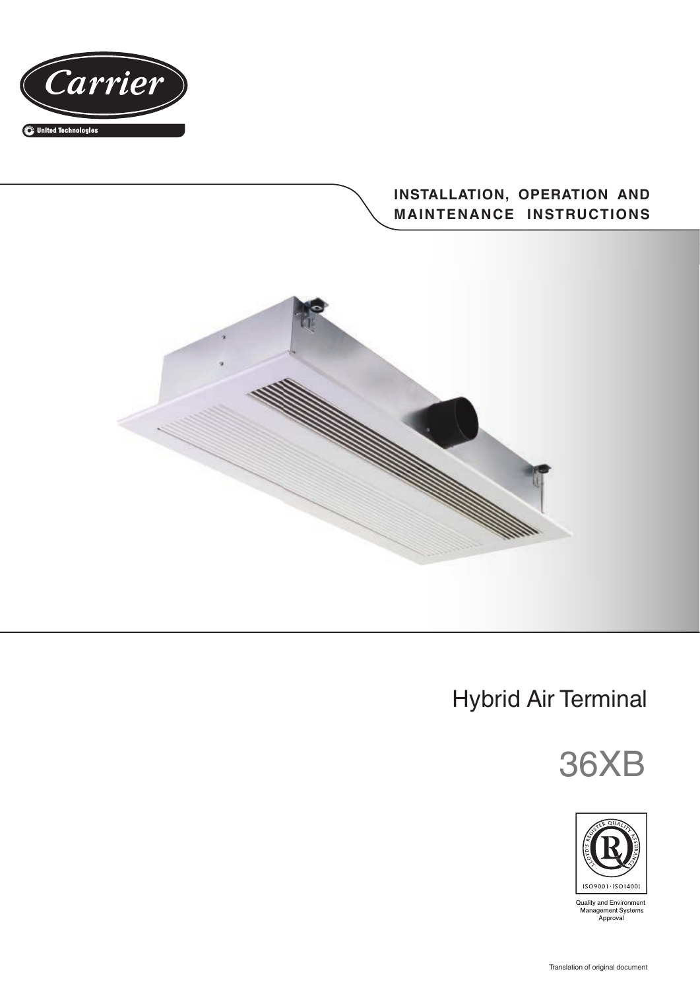

# **INSTALLATION, OPERATION AND MAINTENANCE INSTRUCTIONS**



# Hybrid Air Terminal





Quality and Environment<br>Management Systems<br>Approval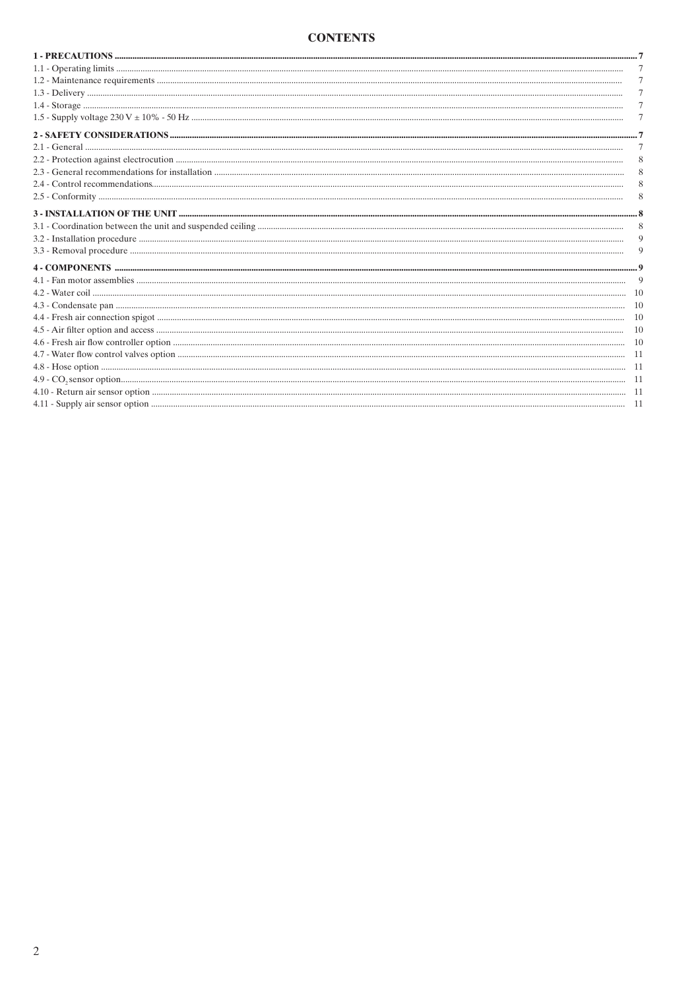#### **CONTENTS**

| -10 |
|-----|
| 10  |
| -10 |
| 10  |
| -10 |
|     |
|     |
|     |
|     |
|     |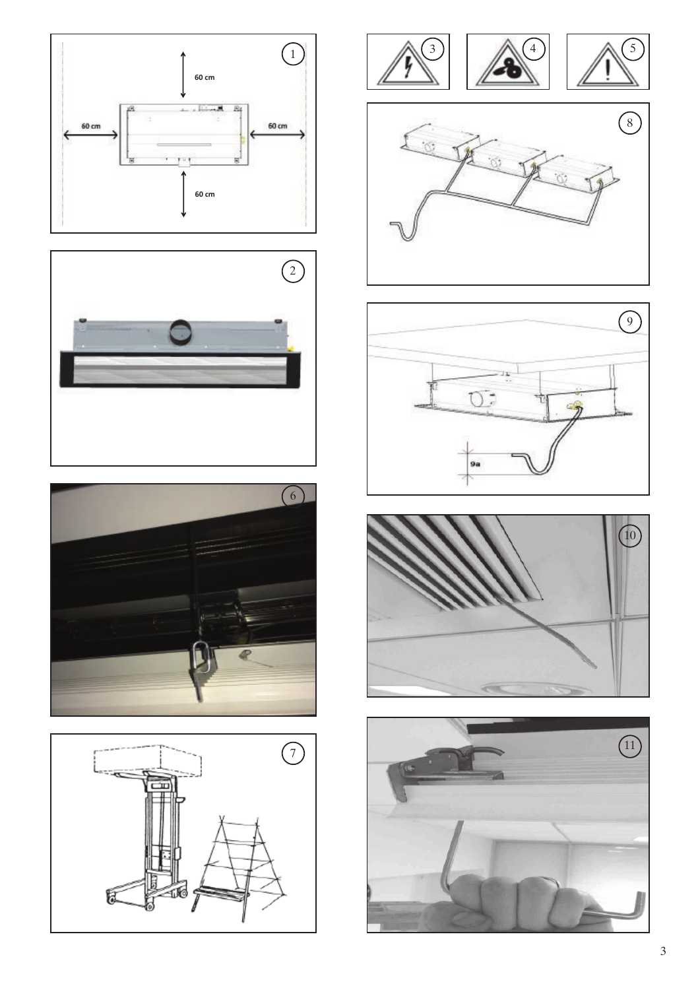













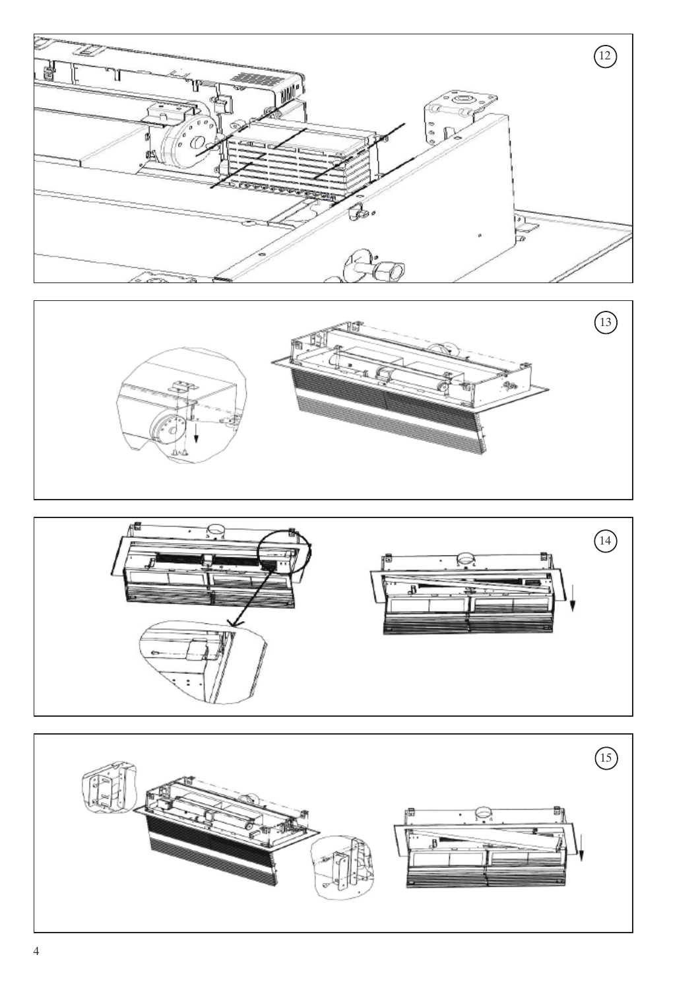





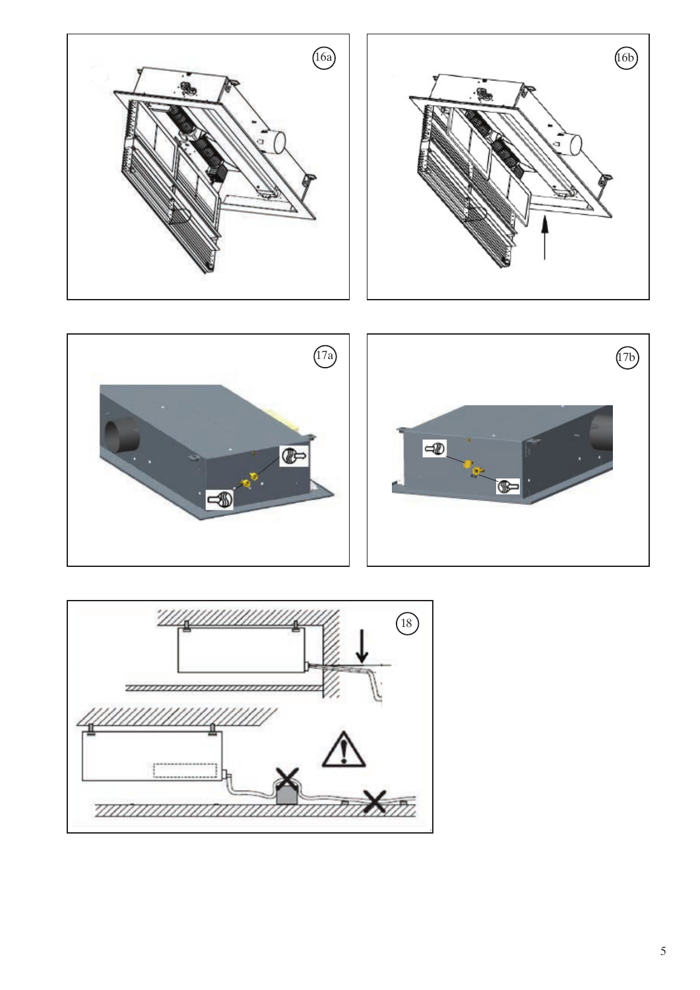





16b

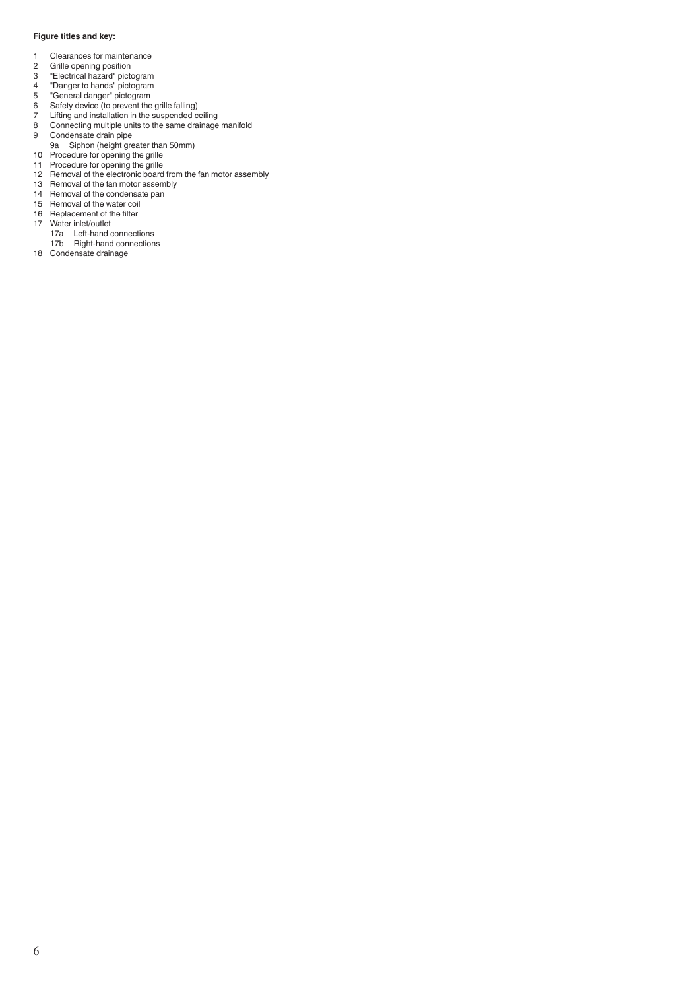#### **Figure titles and key:**

- 1 Clearances for maintenance<br>2 Grille opening position
- 2 Grille opening position<br>3 "Electrical hazard" picto
- "Electrical hazard" pictogram
- "Danger to hands" pictogram
- "General danger" pictogram
- Safety device (to prevent the grille falling)
- Lifting and installation in the suspended ceiling Connecting multiple units to the same drainage manifold
- Condensate drain pipe
- 9a Siphon (height greater than 50mm)
- Procedure for opening the grille
- Procedure for opening the grille
- 12 Removal of the electronic board from the fan motor assembly
- Removal of the fan motor assembly
- Removal of the condensate pan
- Removal of the water coil 16 Replacement of the filter
- 17 Water inlet/outlet
	- 17a Left-hand connections
	- 17b Right-hand connections
- Condensate drainage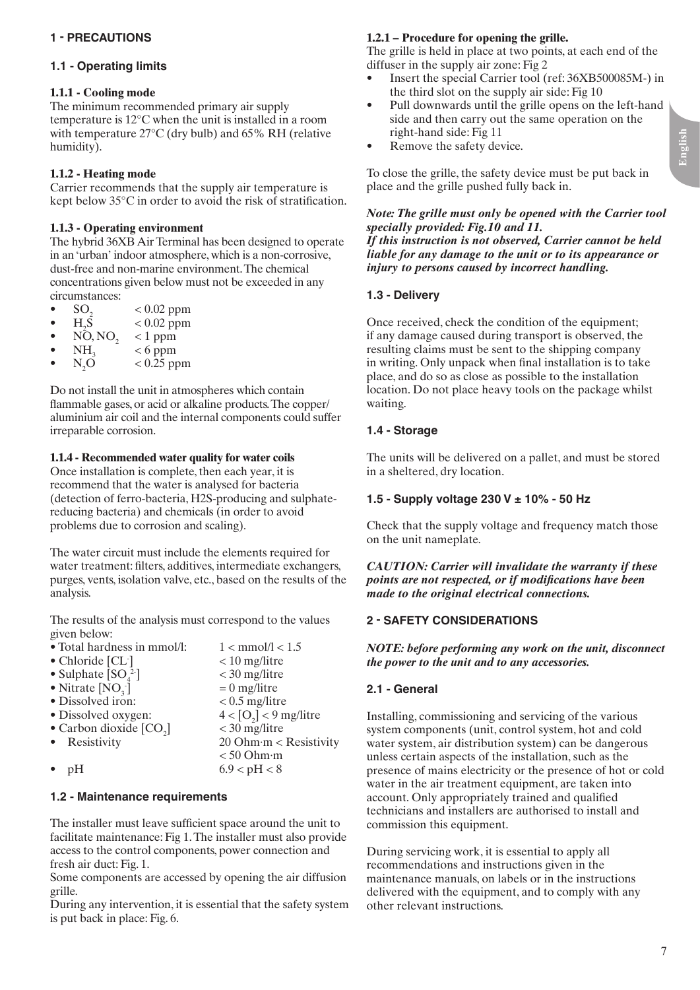# **1.1 - Operating limits**

# **1.1.1 - Cooling mode**

The minimum recommended primary air supply temperature is 12°C when the unit is installed in a room with temperature 27°C (dry bulb) and 65% RH (relative humidity).

# **1.1.2 - Heating mode**

Carrier recommends that the supply air temperature is kept below 35°C in order to avoid the risk of stratification.

# **1.1.3 - Operating environment**

The hybrid 36XB Air Terminal has been designed to operate in an 'urban' indoor atmosphere, which is a non-corrosive, dust-free and non-marine environment. The chemical concentrations given below must not be exceeded in any circumstances:

- $SO_2$  < 0.02 ppm<br>• H S < 0.02 ppm
- $H_2\overline{S}$ <br>• NO  $< 0.02$  ppm
- $\overline{NO}, \overline{NO}_2$  < 1 ppm<br>•  $\overline{NH}_2$  < 6 ppm
- $NH_3 \to 6$  ppm<br>•  $N \Omega \to 0.25$  pm
- $N_{2}O$  $< 0.25$  ppm

Do not install the unit in atmospheres which contain flammable gases, or acid or alkaline products. The copper/ aluminium air coil and the internal components could suffer irreparable corrosion.

# **1.1.4 - Recommended water quality for water coils**

Once installation is complete, then each year, it is recommend that the water is analysed for bacteria (detection of ferro-bacteria, H2S-producing and sulphatereducing bacteria) and chemicals (in order to avoid problems due to corrosion and scaling).

The water circuit must include the elements required for water treatment: filters, additives, intermediate exchangers, purges, vents, isolation valve, etc., based on the results of the analysis.

The results of the analysis must correspond to the values given below:

| • Total hardness in mmol/l: | $1 < \text{mmol/l} < 1.5$            |
|-----------------------------|--------------------------------------|
| $\bullet$ Chloride [CL]     | $< 10$ mg/litre                      |
| • Sulphate $[SO_4^2]$       | $<$ 30 mg/litre                      |
| • Nitrate $[NO_3]$          | $= 0$ mg/litre                       |
| · Dissolved iron:           | $< 0.5$ mg/litre                     |
| • Dissolved oxygen:         | $4 <$ [O <sub>2</sub> ] < 9 mg/litre |
| • Carbon dioxide $[CO2]$    | $<$ 30 mg/litre                      |
| • Resistivity               | $20$ Ohm $\cdot$ m < Resistivity     |
|                             | $< 50$ Ohm $\cdot$ m                 |
| pΗ                          | 6.9 < pH < 8                         |

#### **1.2 - Maintenance requirements**

The installer must leave sufficient space around the unit to facilitate maintenance: Fig 1. The installer must also provide access to the control components, power connection and fresh air duct: Fig. 1.

Some components are accessed by opening the air diffusion grille.

During any intervention, it is essential that the safety system is put back in place: Fig. 6.

# **1.2.1 – Procedure for opening the grille.**

The grille is held in place at two points, at each end of the diffuser in the supply air zone: Fig 2

- Insert the special Carrier tool (ref: 36XB500085M-) in the third slot on the supply air side: Fig 10
- Pull downwards until the grille opens on the left-hand side and then carry out the same operation on the right-hand side: Fig 11
- Remove the safety device.

To close the grille, the safety device must be put back in place and the grille pushed fully back in.

#### *Note: The grille must only be opened with the Carrier tool specially provided: Fig.10 and 11.*

*If this instruction is not observed, Carrier cannot be held liable for any damage to the unit or to its appearance or injury to persons caused by incorrect handling.*

# **1.3 - Delivery**

Once received, check the condition of the equipment; if any damage caused during transport is observed, the resulting claims must be sent to the shipping company in writing. Only unpack when final installation is to take place, and do so as close as possible to the installation location. Do not place heavy tools on the package whilst waiting.

# **1.4 - Storage**

The units will be delivered on a pallet, and must be stored in a sheltered, dry location.

# **1.5 - Supply voltage 230 V ± 10% - 50 Hz**

Check that the supply voltage and frequency match those on the unit nameplate.

*CAUTION: Carrier will invalidate the warranty if these points are not respected, or if modifications have been made to the original electrical connections.*

# **2 - SAFETY CONSIDERATIONS**

*NOTE: before performing any work on the unit, disconnect the power to the unit and to any accessories.*

# **2.1 - General**

Installing, commissioning and servicing of the various system components (unit, control system, hot and cold water system, air distribution system) can be dangerous unless certain aspects of the installation, such as the presence of mains electricity or the presence of hot or cold water in the air treatment equipment, are taken into account. Only appropriately trained and qualified technicians and installers are authorised to install and commission this equipment.

During servicing work, it is essential to apply all recommendations and instructions given in the maintenance manuals, on labels or in the instructions delivered with the equipment, and to comply with any other relevant instructions.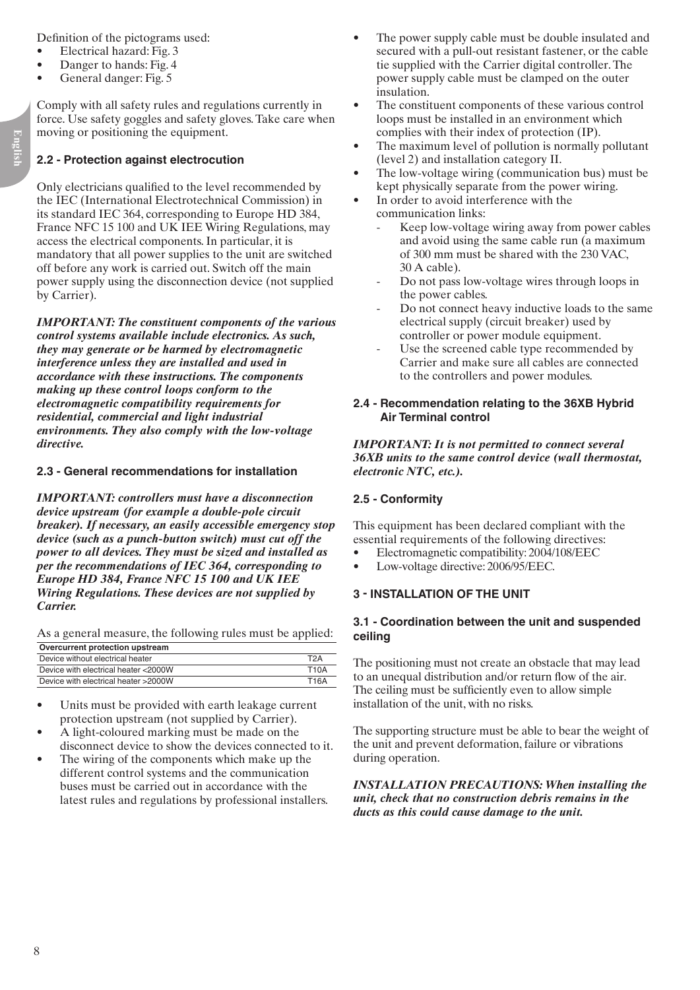Definition of the pictograms used:

- Electrical hazard: Fig. 3
- Danger to hands: Fig. 4
- General danger: Fig. 5

Comply with all safety rules and regulations currently in force. Use safety goggles and safety gloves. Take care when moving or positioning the equipment.

#### **2.2 - Protection against electrocution**

Only electricians qualified to the level recommended by the IEC (International Electrotechnical Commission) in its standard IEC 364, corresponding to Europe HD 384, France NFC 15 100 and UK IEE Wiring Regulations, may access the electrical components. In particular, it is mandatory that all power supplies to the unit are switched off before any work is carried out. Switch off the main power supply using the disconnection device (not supplied by Carrier).

*IMPORTANT: The constituent components of the various control systems available include electronics. As such, they may generate or be harmed by electromagnetic interference unless they are installed and used in accordance with these instructions. The components making up these control loops conform to the electromagnetic compatibility requirements for residential, commercial and light industrial environments. They also comply with the low-voltage directive.*

#### **2.3 - General recommendations for installation**

*IMPORTANT: controllers must have a disconnection device upstream (for example a double-pole circuit breaker). If necessary, an easily accessible emergency stop device (such as a punch-button switch) must cut off the power to all devices. They must be sized and installed as per the recommendations of IEC 364, corresponding to Europe HD 384, France NFC 15 100 and UK IEE Wiring Regulations. These devices are not supplied by Carrier.*

As a general measure, the following rules must be applied:

| Overcurrent protection upstream      |             |
|--------------------------------------|-------------|
| Device without electrical heater     | T2A         |
| Device with electrical heater <2000W | <b>T10A</b> |
| Device with electrical heater >2000W | <b>T16A</b> |

- Units must be provided with earth leakage current protection upstream (not supplied by Carrier).
- A light-coloured marking must be made on the disconnect device to show the devices connected to it.
- The wiring of the components which make up the different control systems and the communication buses must be carried out in accordance with the latest rules and regulations by professional installers.
- The power supply cable must be double insulated and secured with a pull-out resistant fastener, or the cable tie supplied with the Carrier digital controller. The power supply cable must be clamped on the outer insulation.
- The constituent components of these various control loops must be installed in an environment which complies with their index of protection (IP).
- The maximum level of pollution is normally pollutant (level 2) and installation category II.
- The low-voltage wiring (communication bus) must be kept physically separate from the power wiring.
- In order to avoid interference with the communication links:
	- Keep low-voltage wiring away from power cables and avoid using the same cable run (a maximum of 300 mm must be shared with the 230 VAC, 30 A cable).
	- Do not pass low-voltage wires through loops in the power cables.
	- Do not connect heavy inductive loads to the same electrical supply (circuit breaker) used by controller or power module equipment.
	- Use the screened cable type recommended by Carrier and make sure all cables are connected to the controllers and power modules.

#### **2.4 - Recommendation relating to the 36XB Hybrid Air Terminal control**

*IMPORTANT: It is not permitted to connect several 36XB units to the same control device (wall thermostat, electronic NTC, etc.).*

#### **2.5 - Conformity**

This equipment has been declared compliant with the essential requirements of the following directives:

- • Electromagnetic compatibility: 2004/108/EEC
- Low-voltage directive: 2006/95/EEC.

# **3 - INSTALLATION of the UNIT**

#### **3.1 - Coordination between the unit and suspended ceiling**

The positioning must not create an obstacle that may lead to an unequal distribution and/or return flow of the air. The ceiling must be sufficiently even to allow simple installation of the unit, with no risks.

The supporting structure must be able to bear the weight of the unit and prevent deformation, failure or vibrations during operation.

*INSTALLATION PRECAUTIONS: When installing the unit, check that no construction debris remains in the ducts as this could cause damage to the unit.*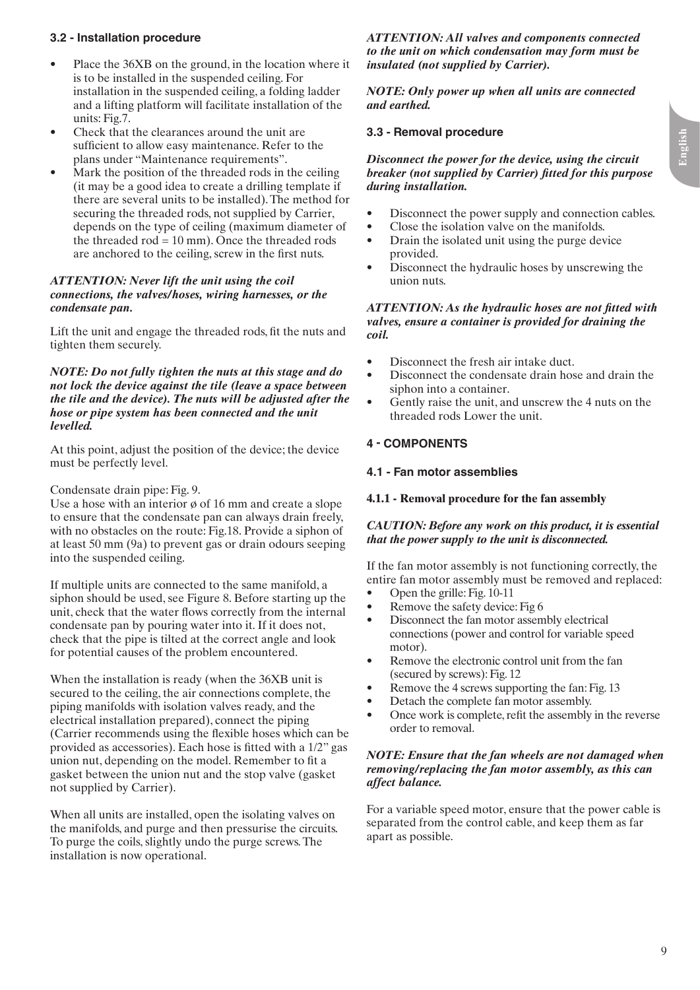# **English**

# **3.2 - Installation procedure**

- Place the 36XB on the ground, in the location where it is to be installed in the suspended ceiling. For installation in the suspended ceiling, a folding ladder and a lifting platform will facilitate installation of the units: Fig.7.
- Check that the clearances around the unit are sufficient to allow easy maintenance. Refer to the plans under "Maintenance requirements".
- Mark the position of the threaded rods in the ceiling (it may be a good idea to create a drilling template if there are several units to be installed). The method for securing the threaded rods, not supplied by Carrier, depends on the type of ceiling (maximum diameter of the threaded rod  $= 10$  mm). Once the threaded rods are anchored to the ceiling, screw in the first nuts.

#### *ATTENTION: Never lift the unit using the coil connections, the valves/hoses, wiring harnesses, or the condensate pan.*

Lift the unit and engage the threaded rods, fit the nuts and tighten them securely.

#### *NOTE: Do not fully tighten the nuts at this stage and do not lock the device against the tile (leave a space between the tile and the device). The nuts will be adjusted after the hose or pipe system has been connected and the unit levelled.*

At this point, adjust the position of the device; the device must be perfectly level.

#### Condensate drain pipe: Fig. 9.

Use a hose with an interior  $\phi$  of 16 mm and create a slope to ensure that the condensate pan can always drain freely, with no obstacles on the route: Fig.18. Provide a siphon of at least 50 mm (9a) to prevent gas or drain odours seeping into the suspended ceiling.

If multiple units are connected to the same manifold, a siphon should be used, see Figure 8. Before starting up the unit, check that the water flows correctly from the internal condensate pan by pouring water into it. If it does not, check that the pipe is tilted at the correct angle and look for potential causes of the problem encountered.

When the installation is ready (when the 36XB unit is secured to the ceiling, the air connections complete, the piping manifolds with isolation valves ready, and the electrical installation prepared), connect the piping (Carrier recommends using the flexible hoses which can be provided as accessories). Each hose is fitted with a 1/2" gas union nut, depending on the model. Remember to fit a gasket between the union nut and the stop valve (gasket not supplied by Carrier).

When all units are installed, open the isolating valves on the manifolds, and purge and then pressurise the circuits. To purge the coils, slightly undo the purge screws. The installation is now operational.

*ATTENTION: All valves and components connected to the unit on which condensation may form must be insulated (not supplied by Carrier).*

*NOTE: Only power up when all units are connected and earthed.*

#### **3.3 - Removal procedure**

#### *Disconnect the power for the device, using the circuit breaker (not supplied by Carrier) fitted for this purpose during installation.*

- Disconnect the power supply and connection cables.
- Close the isolation valve on the manifolds.
- Drain the isolated unit using the purge device provided.
- Disconnect the hydraulic hoses by unscrewing the union nuts.

#### *ATTENTION: As the hydraulic hoses are not fitted with valves, ensure a container is provided for draining the coil.*

- Disconnect the fresh air intake duct.
- Disconnect the condensate drain hose and drain the siphon into a container.
- Gently raise the unit, and unscrew the 4 nuts on the threaded rods Lower the unit.

#### **4 - COMPONENTS**

#### **4.1 - Fan motor assemblies**

#### **4.1.1 - Removal procedure for the fan assembly**

#### *CAUTION: Before any work on this product, it is essential that the power supply to the unit is disconnected.*

If the fan motor assembly is not functioning correctly, the entire fan motor assembly must be removed and replaced:

- Open the grille: Fig. 10-11
- Remove the safety device: Fig 6
- Disconnect the fan motor assembly electrical connections (power and control for variable speed motor).
- Remove the electronic control unit from the fan (secured by screws): Fig. 12
- Remove the 4 screws supporting the fan: Fig. 13
- Detach the complete fan motor assembly.
- Once work is complete, refit the assembly in the reverse order to removal.

#### *NOTE: Ensure that the fan wheels are not damaged when removing/replacing the fan motor assembly, as this can affect balance.*

For a variable speed motor, ensure that the power cable is separated from the control cable, and keep them as far apart as possible.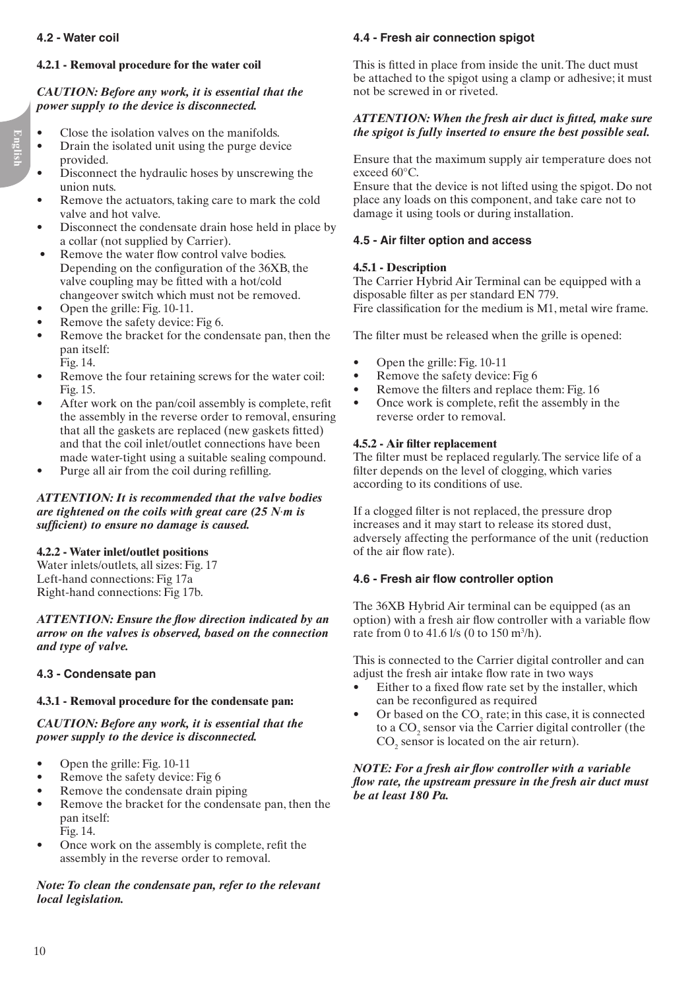#### **4.2 - Water coil**

#### **4.2.1 - Removal procedure for the water coil**

#### *CAUTION: Before any work, it is essential that the power supply to the device is disconnected.*

- Close the isolation valves on the manifolds.
- Drain the isolated unit using the purge device provided.
- Disconnect the hydraulic hoses by unscrewing the union nuts.
- Remove the actuators, taking care to mark the cold valve and hot valve.
- Disconnect the condensate drain hose held in place by a collar (not supplied by Carrier).
- Remove the water flow control valve bodies. Depending on the configuration of the 36XB, the valve coupling may be fitted with a hot/cold changeover switch which must not be removed.
- Open the grille: Fig. 10-11.
- Remove the safety device: Fig 6.
- Remove the bracket for the condensate pan, then the pan itself: Fig. 14.
- Remove the four retaining screws for the water coil: Fig. 15.
- After work on the pan/coil assembly is complete, refit the assembly in the reverse order to removal, ensuring that all the gaskets are replaced (new gaskets fitted) and that the coil inlet/outlet connections have been made water-tight using a suitable sealing compound.
- Purge all air from the coil during refilling.

*ATTENTION: It is recommended that the valve bodies are tightened on the coils with great care (25 N*·*m is sufficient) to ensure no damage is caused.*

#### **4.2.2 - Water inlet/outlet positions**

Water inlets/outlets, all sizes: Fig. 17 Left-hand connections: Fig 17a Right-hand connections: Fig 17b.

*ATTENTION: Ensure the flow direction indicated by an arrow on the valves is observed, based on the connection and type of valve.*

#### **4.3 - Condensate pan**

#### **4.3.1 - Removal procedure for the condensate pan:**

*CAUTION: Before any work, it is essential that the power supply to the device is disconnected.*

- Open the grille: Fig. 10-11
- Remove the safety device: Fig 6
- Remove the condensate drain piping
- Remove the bracket for the condensate pan, then the pan itself:
	- Fig. 14.
- Once work on the assembly is complete, refit the assembly in the reverse order to removal.

*Note: To clean the condensate pan, refer to the relevant local legislation.*

# **4.4 - Fresh air connection spigot**

This is fitted in place from inside the unit. The duct must be attached to the spigot using a clamp or adhesive; it must not be screwed in or riveted.

#### *ATTENTION: When the fresh air duct is fitted, make sure the spigot is fully inserted to ensure the best possible seal.*

Ensure that the maximum supply air temperature does not exceed 60°C.

Ensure that the device is not lifted using the spigot. Do not place any loads on this component, and take care not to damage it using tools or during installation.

# **4.5 - Air filter option and access**

#### **4.5.1 - Description**

The Carrier Hybrid Air Terminal can be equipped with a disposable filter as per standard EN 779. Fire classification for the medium is M1, metal wire frame.

The filter must be released when the grille is opened:

- Open the grille: Fig. 10-11
- Remove the safety device: Fig 6
- Remove the filters and replace them: Fig. 16
- Once work is complete, refit the assembly in the reverse order to removal.

#### **4.5.2 - Air filter replacement**

The filter must be replaced regularly. The service life of a filter depends on the level of clogging, which varies according to its conditions of use.

If a clogged filter is not replaced, the pressure drop increases and it may start to release its stored dust, adversely affecting the performance of the unit (reduction of the air flow rate).

#### **4.6 - Fresh air flow controller option**

The 36XB Hybrid Air terminal can be equipped (as an option) with a fresh air flow controller with a variable flow rate from 0 to 41.6 l/s (0 to 150 m<sup>3</sup>/h).

This is connected to the Carrier digital controller and can adjust the fresh air intake flow rate in two ways

- Either to a fixed flow rate set by the installer, which can be reconfigured as required
- Or based on the  $CO<sub>2</sub>$  rate; in this case, it is connected to a  $CO<sub>2</sub>$  sensor via the Carrier digital controller (the  $CO<sub>2</sub>$  sensor is located on the air return).

#### *NOTE: For a fresh air flow controller with a variable flow rate, the upstream pressure in the fresh air duct must be at least 180 Pa.*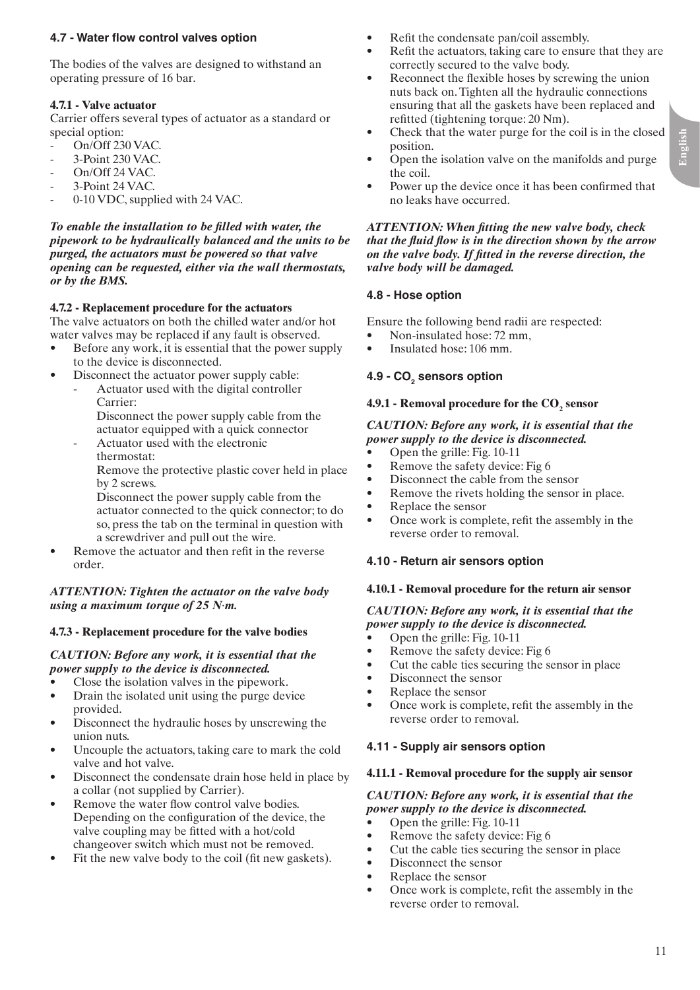#### **4.7 - Water flow control valves option**

The bodies of the valves are designed to withstand an operating pressure of 16 bar.

#### **4.7.1 - Valve actuator**

Carrier offers several types of actuator as a standard or special option:

- On/Off 230 VAC.
- 3-Point 230 VAC.
- On/Off 24 VAC.
- 3-Point 24 VAC.
- 0-10 VDC, supplied with 24 VAC.

*To enable the installation to be filled with water, the pipework to be hydraulically balanced and the units to be purged, the actuators must be powered so that valve opening can be requested, either via the wall thermostats, or by the BMS.*

#### **4.7.2 - Replacement procedure for the actuators**

The valve actuators on both the chilled water and/or hot water valves may be replaced if any fault is observed.

- Before any work, it is essential that the power supply to the device is disconnected.
- Disconnect the actuator power supply cable:
	- Actuator used with the digital controller Carrier:
		- Disconnect the power supply cable from the actuator equipped with a quick connector
	- Actuator used with the electronic thermostat:

 Remove the protective plastic cover held in place by 2 screws.

 Disconnect the power supply cable from the actuator connected to the quick connector; to do so, press the tab on the terminal in question with a screwdriver and pull out the wire.

Remove the actuator and then refit in the reverse order.

#### *ATTENTION: Tighten the actuator on the valve body using a maximum torque of 25 N*·*m.*

#### **4.7.3 - Replacement procedure for the valve bodies**

#### *CAUTION: Before any work, it is essential that the power supply to the device is disconnected.*

- Close the isolation valves in the pipework.
- Drain the isolated unit using the purge device provided.
- Disconnect the hydraulic hoses by unscrewing the union nuts.
- Uncouple the actuators, taking care to mark the cold valve and hot valve.
- Disconnect the condensate drain hose held in place by a collar (not supplied by Carrier).
- Remove the water flow control valve bodies. Depending on the configuration of the device, the valve coupling may be fitted with a hot/cold changeover switch which must not be removed.
- Fit the new valve body to the coil (fit new gaskets).
- Refit the condensate pan/coil assembly.
- Refit the actuators, taking care to ensure that they are correctly secured to the valve body.
- Reconnect the flexible hoses by screwing the union nuts back on. Tighten all the hydraulic connections ensuring that all the gaskets have been replaced and refitted (tightening torque: 20 Nm).
- Check that the water purge for the coil is in the closed position.
- Open the isolation valve on the manifolds and purge the coil.
- Power up the device once it has been confirmed that no leaks have occurred.

#### *ATTENTION: When fitting the new valve body, check that the fluid flow is in the direction shown by the arrow on the valve body. If fitted in the reverse direction, the valve body will be damaged.*

#### **4.8 - Hose option**

Ensure the following bend radii are respected:

- Non-insulated hose: 72 mm,
- Insulated hose: 106 mm.

# **4.9 - CO<sub>2</sub> sensors option**

# **4.9.1 - Removal procedure for the CO<sub>2</sub> sensor**

#### *CAUTION: Before any work, it is essential that the power supply to the device is disconnected.*

- Open the grille: Fig. 10-11
- Remove the safety device: Fig 6
- Disconnect the cable from the sensor
- Remove the rivets holding the sensor in place.
- Replace the sensor
- Once work is complete, refit the assembly in the reverse order to removal.

#### **4.10 - Return air sensors option**

#### **4.10.1 - Removal procedure for the return air sensor**

#### *CAUTION: Before any work, it is essential that the power supply to the device is disconnected.*

- Open the grille: Fig. 10-11
- Remove the safety device: Fig 6
- Cut the cable ties securing the sensor in place
- Disconnect the sensor
- Replace the sensor
- Once work is complete, refit the assembly in the reverse order to removal.

#### **4.11 - Supply air sensors option**

#### **4.11.1 - Removal procedure for the supply air sensor**

#### *CAUTION: Before any work, it is essential that the power supply to the device is disconnected.*

- Open the grille: Fig. 10-11
- Remove the safety device: Fig 6
- Cut the cable ties securing the sensor in place
- Disconnect the sensor
- Replace the sensor
- Once work is complete, refit the assembly in the reverse order to removal.